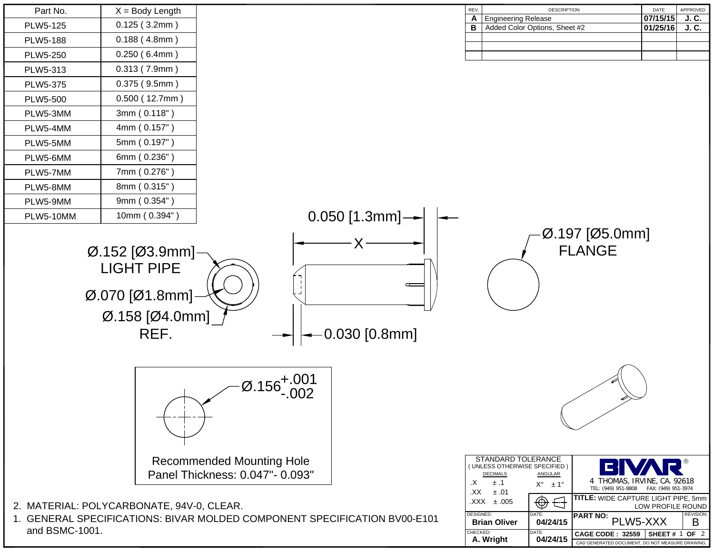